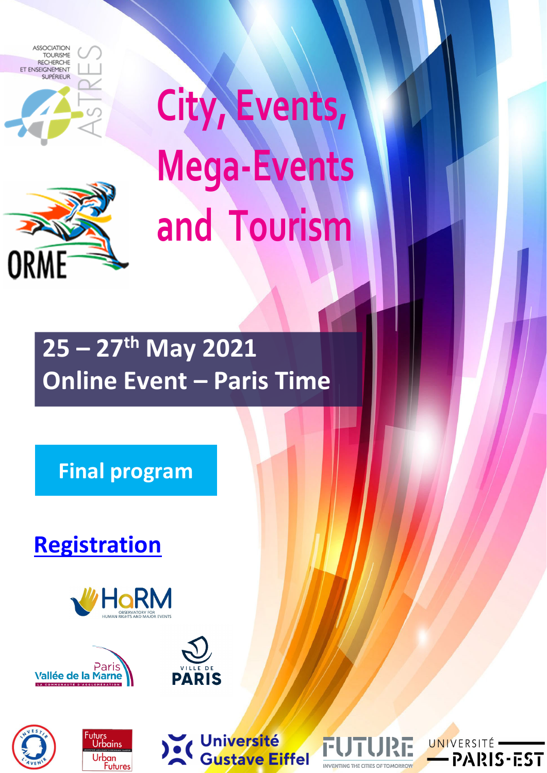

**ORME** 

 **City, Events, Mega‐Events and Tourism**

# **25 – 27th May 2021 Online Event – Paris Time**

**Final program**

**Registration**













**INVENTING THE CITIES OF TOMORROW** 

RE

F

UNIVERSITÉ<sup>-</sup>

-PARIS-EST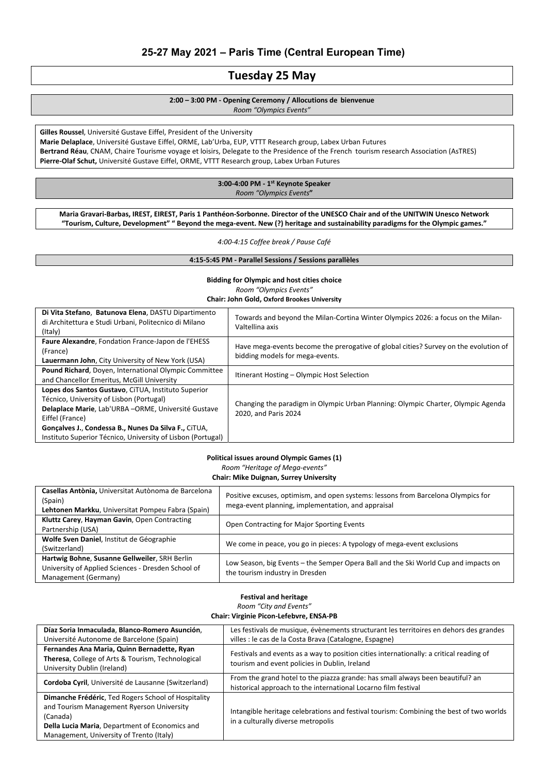# **25-27 May 2021 – Paris Time (Central European Time)**

# **Tuesday 25 May**

**2:00 – 3:00 PM ‐ Opening Ceremony / Allocutions de bienvenue** 

*Room "Olympics Events"*

**Gilles Roussel**, Université Gustave Eiffel, President of the University **Marie Delaplace**, Université Gustave Eiffel, ORME, Lab'Urba, EUP, VTTT Research group, Labex Urban Futures **Bertrand Réau**, CNAM, Chaire Tourisme voyage et loisirs, Delegate to the Presidence of the French tourism research Association (AsTRES) **Pierre‐Olaf Schut,** Université Gustave Eiffel, ORME, VTTT Research group, Labex Urban Futures

# **3:00‐4:00 PM ‐ 1st Keynote Speaker**  *Room "Olympics Events***"**

Maria Gravari-Barbas, IREST, EIREST, Paris 1 Panthéon-Sorbonne. Director of the UNESCO Chair and of the UNITWIN Unesco Network "Tourism, Culture, Development" "Beyond the mega-event. New (?) heritage and sustainability paradigms for the Olympic games."

*4:00‐4:15 Coffee break / Pause Café*

#### **4:15‐5:45 PM ‐ Parallel Sessions / Sessions parallèles**

### **Bidding for Olympic and host cities choice** *Room "Olympics Events"* **Chair: John Gold, Oxford Brookes University**

#### **Political issues around Olympic Games (1)**

*Room "Heritage of Mega‐events"* 

# **Chair: Mike Duignan, Surrey University**

| Casellas Antònia, Universitat Autònoma de Barcelona<br>(Spain)<br>Lehtonen Markku, Universitat Pompeu Fabra (Spain) | Positive excuses, optimism, and open systems: lessons from Barcelona Olympics for<br>mega-event planning, implementation, and appraisal |
|---------------------------------------------------------------------------------------------------------------------|-----------------------------------------------------------------------------------------------------------------------------------------|
| Kluttz Carey, Hayman Gavin, Open Contracting                                                                        | Open Contracting for Major Sporting Events                                                                                              |
| Partnership (USA)                                                                                                   |                                                                                                                                         |
| Wolfe Sven Daniel, Institut de Géographie                                                                           | We come in peace, you go in pieces: A typology of mega-event exclusions                                                                 |
| (Switzerland)                                                                                                       |                                                                                                                                         |
| Hartwig Bohne, Susanne Gellweiler, SRH Berlin                                                                       |                                                                                                                                         |
| University of Applied Sciences - Dresden School of                                                                  | Low Season, big Events - the Semper Opera Ball and the Ski World Cup and impacts on<br>the tourism industry in Dresden                  |
| Management (Germany)                                                                                                |                                                                                                                                         |

#### **Festival and heritage**

*Room "City and Events"*

#### **Chair: Virginie Picon‐Lefebvre, ENSA‐PB**

| Díaz Soria Inmaculada, Blanco-Romero Asunción,                                                                                                                                                             | Les festivals de musique, évènements structurant les territoires en dehors des grandes                                                           |
|------------------------------------------------------------------------------------------------------------------------------------------------------------------------------------------------------------|--------------------------------------------------------------------------------------------------------------------------------------------------|
| Université Autonome de Barcelone (Spain)                                                                                                                                                                   | villes : le cas de la Costa Brava (Catalogne, Espagne)                                                                                           |
| Fernandes Ana Maria, Quinn Bernadette, Ryan<br>Theresa, College of Arts & Tourism, Technological<br>University Dublin (Ireland)                                                                            | Festivals and events as a way to position cities internationally: a critical reading of<br>tourism and event policies in Dublin, Ireland         |
| Cordoba Cyril, Université de Lausanne (Switzerland)                                                                                                                                                        | From the grand hotel to the piazza grande: has small always been beautiful? an<br>historical approach to the international Locarno film festival |
| Dimanche Frédéric, Ted Rogers School of Hospitality<br>and Tourism Management Ryerson University<br>(Canada)<br>Della Lucia Maria, Department of Economics and<br>Management, University of Trento (Italy) | Intangible heritage celebrations and festival tourism: Combining the best of two worlds<br>in a culturally diverse metropolis                    |

| Di Vita Stefano, Batunova Elena, DASTU Dipartimento<br>di Architettura e Studi Urbani, Politecnico di Milano<br>(Italy)                                                  | Towards and beyond the Milan-Cortina Winter Olympics 2026: a focus on the Milan-<br>Valtellina axis                     |
|--------------------------------------------------------------------------------------------------------------------------------------------------------------------------|-------------------------------------------------------------------------------------------------------------------------|
| Faure Alexandre, Fondation France-Japon de l'EHESS<br>(France)<br>Lauermann John, City University of New York (USA)                                                      | Have mega-events become the prerogative of global cities? Survey on the evolution of<br>bidding models for mega-events. |
| Pound Richard, Doyen, International Olympic Committee<br>and Chancellor Emeritus, McGill University                                                                      | Itinerant Hosting - Olympic Host Selection                                                                              |
| Lopes dos Santos Gustavo, CITUA, Instituto Superior<br>Técnico, University of Lisbon (Portugal)<br>Delaplace Marie, Lab'URBA-ORME, Université Gustave<br>Eiffel (France) | Changing the paradigm in Olympic Urban Planning: Olympic Charter, Olympic Agenda<br>2020, and Paris 2024                |
| Gonçalves J., Condessa B., Nunes Da Silva F., CITUA,<br>Instituto Superior Técnico, University of Lisbon (Portugal)                                                      |                                                                                                                         |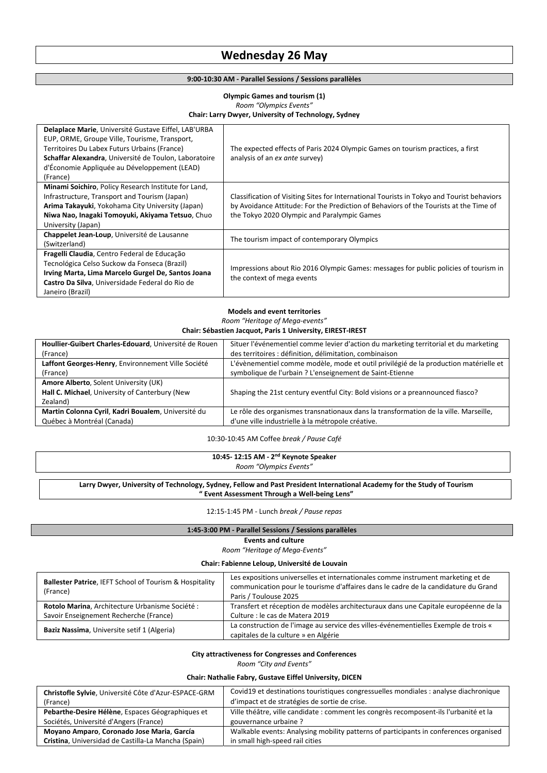# **Wednesday 26 May**

#### **9:00‐10:30 AM ‐ Parallel Sessions / Sessions parallèles**

# **Olympic Games and tourism (1)**  *Room "Olympics Events"* **Chair: Larry Dwyer, University of Technology, Sydney**

| Delaplace Marie, Université Gustave Eiffel, LAB'URBA<br>EUP, ORME, Groupe Ville, Tourisme, Transport,<br>Territoires Du Labex Futurs Urbains (France)<br>Schaffar Alexandra, Université de Toulon, Laboratoire<br>d'Économie Appliquée au Développement (LEAD)<br>(France) | The expected effects of Paris 2024 Olympic Games on tourism practices, a first<br>analysis of an ex ante survey)                                                                                                                   |
|----------------------------------------------------------------------------------------------------------------------------------------------------------------------------------------------------------------------------------------------------------------------------|------------------------------------------------------------------------------------------------------------------------------------------------------------------------------------------------------------------------------------|
| Minami Soichiro, Policy Research Institute for Land,<br>Infrastructure, Transport and Tourism (Japan)<br>Arima Takayuki, Yokohama City University (Japan)<br>Niwa Nao, Inagaki Tomoyuki, Akiyama Tetsuo, Chuo<br>University (Japan)                                        | Classification of Visiting Sites for International Tourists in Tokyo and Tourist behaviors<br>by Avoidance Attitude: For the Prediction of Behaviors of the Tourists at the Time of<br>the Tokyo 2020 Olympic and Paralympic Games |
| Chappelet Jean-Loup, Université de Lausanne<br>(Switzerland)                                                                                                                                                                                                               | The tourism impact of contemporary Olympics                                                                                                                                                                                        |
| Fragelli Claudia, Centro Federal de Educação<br>Tecnológica Celso Suckow da Fonseca (Brazil)<br>Irving Marta, Lima Marcelo Gurgel De, Santos Joana<br>Castro Da Silva, Universidade Federal do Rio de<br>Janeiro (Brazil)                                                  | Impressions about Rio 2016 Olympic Games: messages for public policies of tourism in<br>the context of mega events                                                                                                                 |

#### Larry Dwyer, University of Technology, Sydney, Fellow and Past President International Academy for the Study of Tourism **" Event Assessment Through a Well‐being Lens"**

#### **Models and event territories**

*Room "Heritage of Mega‐events"* 

## **Chair: Sébastien Jacquot, Paris 1 University, EIREST‐IREST**

| Houllier-Guibert Charles-Edouard, Université de Rouen | Situer l'événementiel comme levier d'action du marketing territorial et du marketing |
|-------------------------------------------------------|--------------------------------------------------------------------------------------|
| (France)                                              | des territoires : définition, délimitation, combinaison                              |
| Laffont Georges-Henry, Environnement Ville Société    | L'évènementiel comme modèle, mode et outil privilégié de la production matérielle et |
| (France)                                              | symbolique de l'urbain ? L'enseignement de Saint-Etienne                             |
| Amore Alberto, Solent University (UK)                 |                                                                                      |
| Hall C. Michael, University of Canterbury (New        | Shaping the 21st century eventful City: Bold visions or a preannounced fiasco?       |
| Zealand)                                              |                                                                                      |
| Martin Colonna Cyril, Kadri Boualem, Université du    | Le rôle des organismes transnationaux dans la transformation de la ville. Marseille, |
| Québec à Montréal (Canada)                            | d'une ville industrielle à la métropole créative.                                    |
|                                                       |                                                                                      |

#### 10:30‐10:45 AM Coffee *break / Pause Café*

| 10:45-12:15 AM - $2nd$ Keynote Speaker    |  |
|-------------------------------------------|--|
| $^{\backprime}$ "Olympics Events"<br>Room |  |
|                                           |  |

12:15‐1:45 PM ‐ Lunch *break / Pause repas* 

## **1:45‐3:00 PM ‐ Parallel Sessions / Sessions parallèles**

#### **Events and culture**

*Room "Heritage of Mega‐Events"*

#### **Chair: Fabienne Leloup, Université de Louvain**

| <b>Ballester Patrice, IEFT School of Tourism &amp; Hospitality</b><br>(France) | Les expositions universelles et internationales comme instrument marketing et de<br>communication pour le tourisme d'affaires dans le cadre de la candidature du Grand<br>Paris / Toulouse 2025 |
|--------------------------------------------------------------------------------|-------------------------------------------------------------------------------------------------------------------------------------------------------------------------------------------------|
| Rotolo Marina, Architecture Urbanisme Société :                                | Transfert et réception de modèles architecturaux dans une Capitale européenne de la                                                                                                             |
| Savoir Enseignement Recherche (France)                                         | Culture : le cas de Matera 2019                                                                                                                                                                 |
| Baziz Nassima, Universite setif 1 (Algeria)                                    | La construction de l'image au service des villes-événementielles Exemple de trois «                                                                                                             |
|                                                                                | capitales de la culture » en Algérie                                                                                                                                                            |

#### **City attractiveness for Congresses and Conferences**

*Room "City and Events"*

#### **Chair: Nathalie Fabry, Gustave Eiffel University, DICEN**

| Christofle Sylvie, Université Côte d'Azur-ESPACE-GRM | Covid19 et destinations touristiques congressuelles mondiales : analyse diachronique  |
|------------------------------------------------------|---------------------------------------------------------------------------------------|
| (France)                                             | d'impact et de stratégies de sortie de crise.                                         |
| Pebarthe-Desire Hélène, Espaces Géographiques et     | Ville théâtre, ville candidate : comment les congrès recomposent-ils l'urbanité et la |
| Sociétés, Université d'Angers (France)               | gouvernance urbaine?                                                                  |
| Moyano Amparo, Coronado Jose Maria, García           | Walkable events: Analysing mobility patterns of participants in conferences organised |
| Cristina, Universidad de Castilla-La Mancha (Spain)  | in small high-speed rail cities                                                       |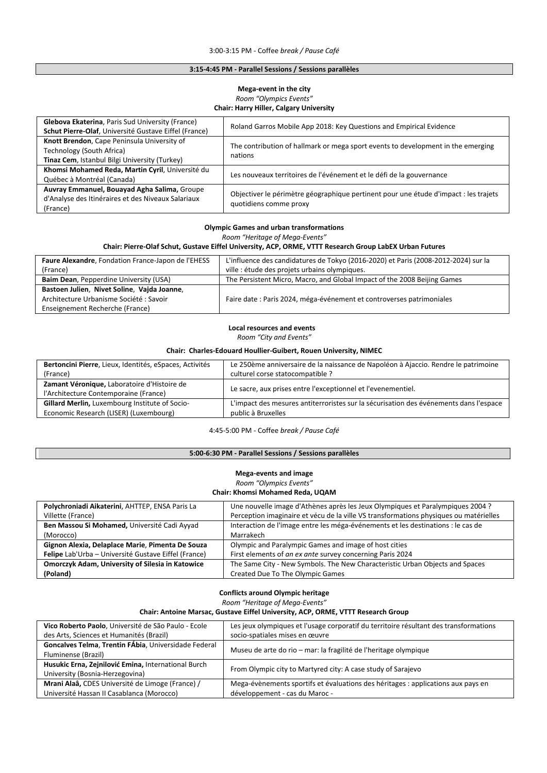#### **3:15‐4:45 PM ‐ Parallel Sessions / Sessions parallèles**

# **Mega‐event in the city** *Room "Olympics Events"* **Chair: Harry Hiller, Calgary University**

| Glebova Ekaterina, Paris Sud University (France)<br>Schut Pierre-Olaf, Université Gustave Eiffel (France)                 | Roland Garros Mobile App 2018: Key Questions and Empirical Evidence                                            |
|---------------------------------------------------------------------------------------------------------------------------|----------------------------------------------------------------------------------------------------------------|
| Knott Brendon, Cape Peninsula University of<br>Technology (South Africa)<br>Tinaz Cem, Istanbul Bilgi University (Turkey) | The contribution of hallmark or mega sport events to development in the emerging<br>nations                    |
| Khomsi Mohamed Reda, Martin Cyril, Université du<br>Québec à Montréal (Canada)                                            | Les nouveaux territoires de l'événement et le défi de la gouvernance                                           |
| Auvray Emmanuel, Bouayad Agha Salima, Groupe<br>d'Analyse des Itinéraires et des Niveaux Salariaux<br>(France)            | Objectiver le périmètre géographique pertinent pour une étude d'impact : les trajets<br>quotidiens comme proxy |

#### **Olympic Games and urban transformations**

*Room "Heritage of Mega‐Events"*

#### **Chair: Pierre‐Olaf Schut, Gustave Eiffel University, ACP, ORME, VTTT Research Group LabEX Urban Futures**

#### **Local resources and events**

*Room "City and Events"*

#### **Chair: Charles‐Edouard Houllier‐Guibert, Rouen University, NIMEC**

| Bertoncini Pierre, Lieux, Identités, eSpaces, Activités                              | Le 250ème anniversaire de la naissance de Napoléon à Ajaccio. Rendre le patrimoine    |
|--------------------------------------------------------------------------------------|---------------------------------------------------------------------------------------|
| (France)                                                                             | culturel corse statocompatible ?                                                      |
| Zamant Véronique, Laboratoire d'Histoire de<br>l'Architecture Contemporaine (France) | Le sacre, aux prises entre l'exceptionnel et l'evenementiel.                          |
| Gillard Merlin, Luxembourg Institute of Socio-                                       | L'impact des mesures antiterroristes sur la sécurisation des événements dans l'espace |
| Economic Research (LISER) (Luxembourg)                                               | public à Bruxelles                                                                    |

#### 4:45‐5:00 PM ‐ Coffee *break / Pause Café*

# **5:00‐6:30 PM ‐ Parallel Sessions / Sessions parallèles**

# **Mega‐events and image**

*Room "Olympics Events"*

**Chair: Khomsi Mohamed Reda, UQAM**

| Polychroniadi Aikaterini, AHTTEP, ENSA Paris La         | Une nouvelle image d'Athènes après les Jeux Olympiques et Paralympiques 2004 ?        |
|---------------------------------------------------------|---------------------------------------------------------------------------------------|
| Villette (France)                                       | Perception imaginaire et vécu de la ville VS transformations physiques ou matérielles |
| Ben Massou Si Mohamed, Université Cadi Ayyad            | Interaction de l'image entre les méga-événements et les destinations : le cas de      |
| (Morocco)                                               | Marrakech                                                                             |
| Gignon Alexia, Delaplace Marie, Pimenta De Souza        | Olympic and Paralympic Games and image of host cities                                 |
| Felipe Lab'Urba - Université Gustave Eiffel (France)    | First elements of an ex ante survey concerning Paris 2024                             |
| <b>Omorczyk Adam, University of Silesia in Katowice</b> | The Same City - New Symbols. The New Characteristic Urban Objects and Spaces          |
| (Poland)                                                | <b>Created Due To The Olympic Games</b>                                               |

# **Conflicts around Olympic heritage** *Room "Heritage of Mega‐Events"*

#### **Chair: Antoine Marsac, Gustave Eiffel University, ACP, ORME, VTTT Research Group**

| Vico Roberto Paolo, Université de São Paulo - Ecole  | Les jeux olympiques et l'usage corporatif du territoire résultant des transformations |
|------------------------------------------------------|---------------------------------------------------------------------------------------|
| des Arts, Sciences et Humanités (Brazil)             | socio-spatiales mises en œuvre                                                        |
| Goncalves Telma, Trentin FÁbia, Universidade Federal |                                                                                       |
| Fluminense (Brazil)                                  | Museu de arte do rio – mar: la fragilité de l'heritage olympique                      |
| Husukic Erna, Zejnilović Emina, International Burch  | From Olympic city to Martyred city: A case study of Sarajevo                          |
| University (Bosnia-Herzegovina)                      |                                                                                       |
| Mrani Alaâ, CDES Université de Limoge (France) /     | Mega-évènements sportifs et évaluations des héritages : applications aux pays en      |
| Université Hassan II Casablanca (Morocco)            | développement - cas du Maroc -                                                        |

| Faure Alexandre, Fondation France-Japon de l'EHESS | L'influence des candidatures de Tokyo (2016-2020) et Paris (2008-2012-2024) sur la |
|----------------------------------------------------|------------------------------------------------------------------------------------|
| (France)                                           | ville : étude des projets urbains olympiques.                                      |
| Baim Dean, Pepperdine University (USA)             | The Persistent Micro, Macro, and Global Impact of the 2008 Beijing Games           |
| Bastoen Julien, Nivet Soline, Vajda Joanne,        |                                                                                    |
| Architecture Urbanisme Société : Savoir            | Faire date : Paris 2024, méga-événement et controverses patrimoniales              |
| Enseignement Recherche (France)                    |                                                                                    |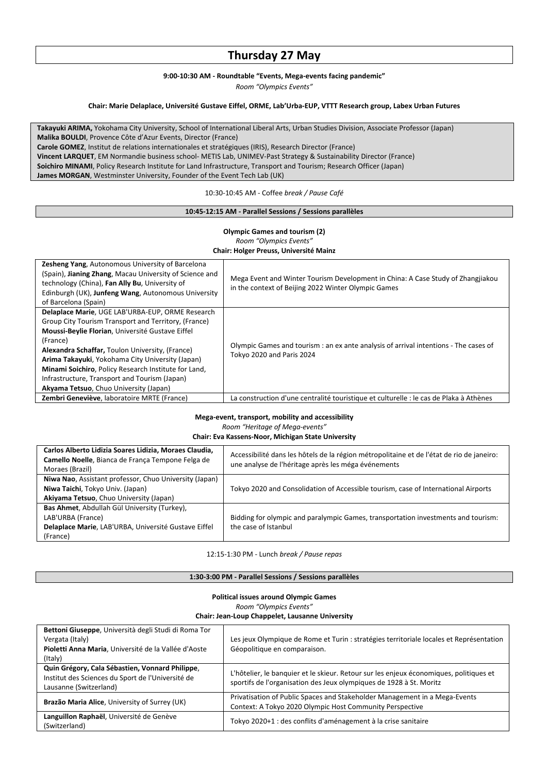# **Thursday 27 May**

#### **9:00‐10:30 AM ‐ Roundtable "Events, Mega‐events facing pandemic"**

*Room "Olympics Events"*

# **Chair: Marie Delaplace, Université Gustave Eiffel, ORME, Lab'Urba‐EUP, VTTT Research group, Labex Urban Futures**

**Takayuki ARIMA,** Yokohama City University, School of International Liberal Arts, Urban Studies Division, Associate Professor (Japan) **Malika BOULDI**, Provence Côte d'Azur Events, Director (France) **Carole GOMEZ**, Institut de relations internationales et stratégiques (IRIS), Research Director (France) **Vincent LARQUET**, EM Normandie business school‐ METIS Lab, UNIMEV‐Past Strategy & Sustainability Director (France) **Soichiro MINAMI**, Policy Research Institute for Land Infrastructure, Transport and Tourism; Research Officer (Japan) **James MORGAN**, Westminster University, Founder of the Event Tech Lab (UK)

#### 10:30‐10:45 AM ‐ Coffee *break / Pause Café*

#### **10:45‐12:15 AM ‐ Parallel Sessions / Sessions parallèles**

# **Olympic Games and tourism (2)** *Room "Olympics Events"* **Chair: Holger Preuss, Université Mainz**

| <b>Zesheng Yang, Autonomous University of Barcelona</b><br>(Spain), Jianing Zhang, Macau University of Science and<br>technology (China), Fan Ally Bu, University of<br>Edinburgh (UK), Junfeng Wang, Autonomous University<br>of Barcelona (Spain)                                                                                                                                                                                | Mega Event and Winter Tourism Development in China: A Case Study of Zhangjiakou<br>in the context of Beijing 2022 Winter Olympic Games |
|------------------------------------------------------------------------------------------------------------------------------------------------------------------------------------------------------------------------------------------------------------------------------------------------------------------------------------------------------------------------------------------------------------------------------------|----------------------------------------------------------------------------------------------------------------------------------------|
| Delaplace Marie, UGE LAB'URBA-EUP, ORME Research<br>Group City Tourism Transport and Territory, (France)<br>Moussi-Beylie Florian, Université Gustave Eiffel<br>(France)<br>Alexandra Schaffar, Toulon University, (France)<br>Arima Takayuki, Yokohama City University (Japan)<br>Minami Soichiro, Policy Research Institute for Land,<br>Infrastructure, Transport and Tourism (Japan)<br>Akyama Tetsuo, Chuo University (Japan) | Olympic Games and tourism : an ex ante analysis of arrival intentions - The cases of<br>Tokyo 2020 and Paris 2024                      |
| Zembri Geneviève, laboratoire MRTE (France)                                                                                                                                                                                                                                                                                                                                                                                        | La construction d'une centralité touristique et culturelle : le cas de Plaka à Athènes                                                 |

# **Mega‐event, transport, mobility and accessibility**

*Room "Heritage of Mega‐events"*

**Chair: Eva Kassens‐Noor, Michigan State University**

| Carlos Alberto Lidizia Soares Lidizia, Moraes Claudia,<br>Camello Noelle, Bianca de França Tempone Felga de<br>Moraes (Brazil) | Accessibilité dans les hôtels de la région métropolitaine et de l'état de rio de janeiro:<br>une analyse de l'héritage après les méga événements |
|--------------------------------------------------------------------------------------------------------------------------------|--------------------------------------------------------------------------------------------------------------------------------------------------|
| Niwa Nao, Assistant professor, Chuo University (Japan)<br>Niwa Taichi, Tokyo Univ. (Japan)                                     | Tokyo 2020 and Consolidation of Accessible tourism, case of International Airports                                                               |
| Akiyama Tetsuo, Chuo University (Japan)                                                                                        |                                                                                                                                                  |
| Bas Ahmet, Abdullah Gül University (Turkey),                                                                                   |                                                                                                                                                  |
| LAB'URBA (France)                                                                                                              | Bidding for olympic and paralympic Games, transportation investments and tourism:                                                                |
| Delaplace Marie, LAB'URBA, Université Gustave Eiffel                                                                           | the case of Istanbul                                                                                                                             |
| (France)                                                                                                                       |                                                                                                                                                  |

#### 12:15‐1:30 PM ‐ Lunch *break / Pause repas*

# **1:30‐3:00 PM ‐ Parallel Sessions / Sessions parallèles**

#### **Political issues around Olympic Games**

#### *Room "Olympics Events"*

#### **Chair: Jean‐Loup Chappelet, Lausanne University**

| Bettoni Giuseppe, Università degli Studi di Roma Tor |                                                                                                                                                               |
|------------------------------------------------------|---------------------------------------------------------------------------------------------------------------------------------------------------------------|
| Vergata (Italy)                                      | Les jeux Olympique de Rome et Turin : stratégies territoriale locales et Représentation                                                                       |
| Pioletti Anna Maria, Université de la Vallée d'Aoste | Géopolitique en comparaison.                                                                                                                                  |
| (Italy)                                              |                                                                                                                                                               |
| Quin Grégory, Cala Sébastien, Vonnard Philippe,      | L'hôtelier, le banquier et le skieur. Retour sur les enjeux économiques, politiques et<br>sportifs de l'organisation des Jeux olympiques de 1928 à St. Moritz |
| Institut des Sciences du Sport de l'Université de    |                                                                                                                                                               |
| Lausanne (Switzerland)                               |                                                                                                                                                               |
| Brazão Maria Alice, University of Surrey (UK)        | Privatisation of Public Spaces and Stakeholder Management in a Mega-Events                                                                                    |
|                                                      | Context: A Tokyo 2020 Olympic Host Community Perspective                                                                                                      |
| Languillon Raphaël, Université de Genève             | Tokyo 2020+1 : des conflits d'aménagement à la crise sanitaire                                                                                                |
| (Switzerland)                                        |                                                                                                                                                               |